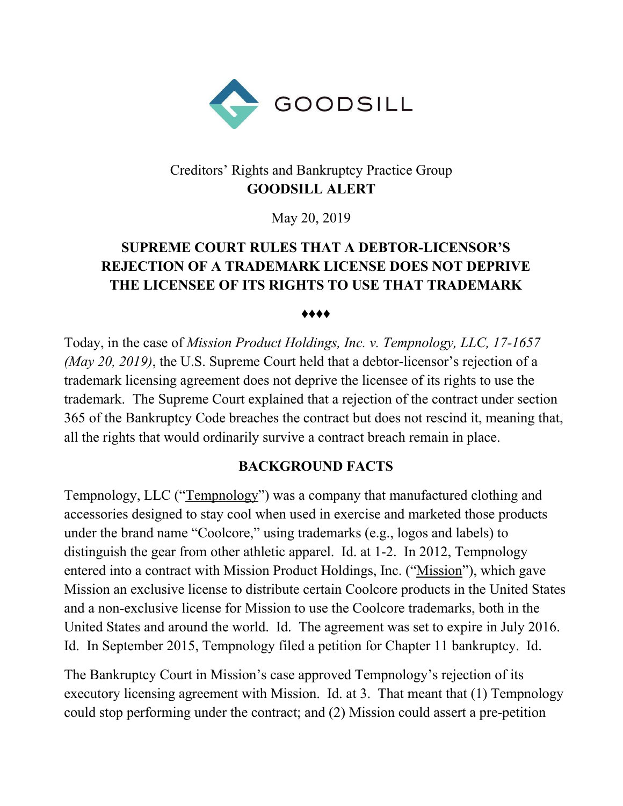

## Creditors' Rights and Bankruptcy Practice Group **GOODSILL ALERT**

May 20, 2019

# **SUPREME COURT RULES THAT A DEBTOR-LICENSOR'S REJECTION OF A TRADEMARK LICENSE DOES NOT DEPRIVE THE LICENSEE OF ITS RIGHTS TO USE THAT TRADEMARK**

♦♦♦♦

Today, in the case of *Mission Product Holdings, Inc. v. Tempnology, LLC, 17-1657 (May 20, 2019)*, the U.S. Supreme Court held that a debtor-licensor's rejection of a trademark licensing agreement does not deprive the licensee of its rights to use the trademark. The Supreme Court explained that a rejection of the contract under section 365 of the Bankruptcy Code breaches the contract but does not rescind it, meaning that, all the rights that would ordinarily survive a contract breach remain in place.

#### **BACKGROUND FACTS**

Tempnology, LLC ("Tempnology") was a company that manufactured clothing and accessories designed to stay cool when used in exercise and marketed those products under the brand name "Coolcore," using trademarks (e.g., logos and labels) to distinguish the gear from other athletic apparel. Id. at 1-2. In 2012, Tempnology entered into a contract with Mission Product Holdings, Inc. ("Mission"), which gave Mission an exclusive license to distribute certain Coolcore products in the United States and a non-exclusive license for Mission to use the Coolcore trademarks, both in the United States and around the world. Id. The agreement was set to expire in July 2016. Id. In September 2015, Tempnology filed a petition for Chapter 11 bankruptcy. Id.

The Bankruptcy Court in Mission's case approved Tempnology's rejection of its executory licensing agreement with Mission. Id. at 3. That meant that (1) Tempnology could stop performing under the contract; and (2) Mission could assert a pre-petition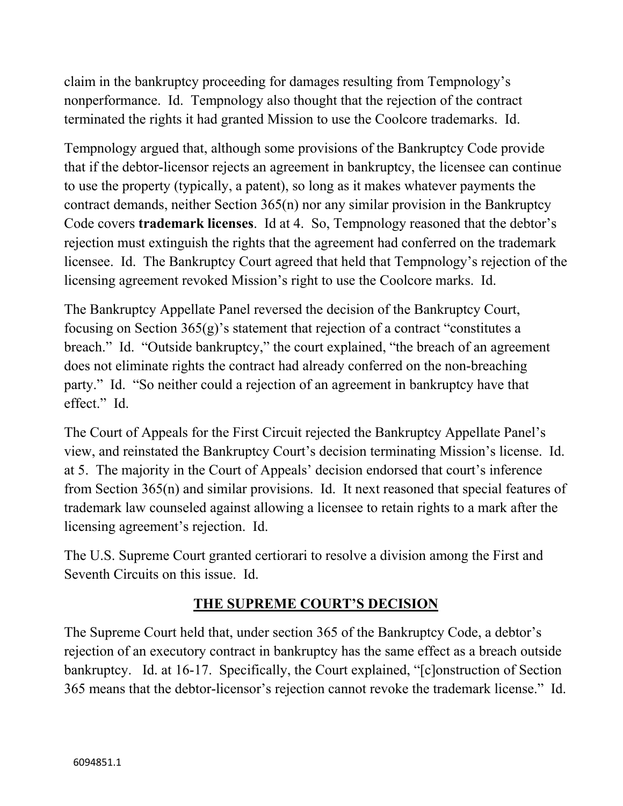claim in the bankruptcy proceeding for damages resulting from Tempnology's nonperformance. Id. Tempnology also thought that the rejection of the contract terminated the rights it had granted Mission to use the Coolcore trademarks. Id.

Tempnology argued that, although some provisions of the Bankruptcy Code provide that if the debtor-licensor rejects an agreement in bankruptcy, the licensee can continue to use the property (typically, a patent), so long as it makes whatever payments the contract demands, neither Section 365(n) nor any similar provision in the Bankruptcy Code covers **trademark licenses**. Id at 4. So, Tempnology reasoned that the debtor's rejection must extinguish the rights that the agreement had conferred on the trademark licensee. Id. The Bankruptcy Court agreed that held that Tempnology's rejection of the licensing agreement revoked Mission's right to use the Coolcore marks. Id.

The Bankruptcy Appellate Panel reversed the decision of the Bankruptcy Court, focusing on Section 365(g)'s statement that rejection of a contract "constitutes a breach." Id. "Outside bankruptcy," the court explained, "the breach of an agreement does not eliminate rights the contract had already conferred on the non-breaching party." Id. "So neither could a rejection of an agreement in bankruptcy have that effect." Id.

The Court of Appeals for the First Circuit rejected the Bankruptcy Appellate Panel's view, and reinstated the Bankruptcy Court's decision terminating Mission's license. Id. at 5. The majority in the Court of Appeals' decision endorsed that court's inference from Section 365(n) and similar provisions. Id. It next reasoned that special features of trademark law counseled against allowing a licensee to retain rights to a mark after the licensing agreement's rejection. Id.

The U.S. Supreme Court granted certiorari to resolve a division among the First and Seventh Circuits on this issue. Id.

# **THE SUPREME COURT'S DECISION**

The Supreme Court held that, under section 365 of the Bankruptcy Code, a debtor's rejection of an executory contract in bankruptcy has the same effect as a breach outside bankruptcy. Id. at 16-17. Specifically, the Court explained, "[c]onstruction of Section 365 means that the debtor-licensor's rejection cannot revoke the trademark license." Id.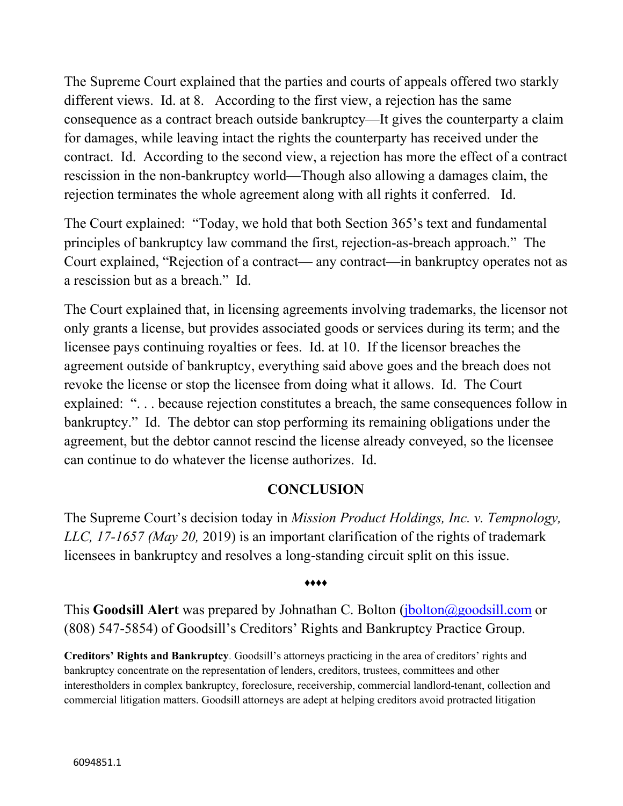The Supreme Court explained that the parties and courts of appeals offered two starkly different views. Id. at 8. According to the first view, a rejection has the same consequence as a contract breach outside bankruptcy—It gives the counterparty a claim for damages, while leaving intact the rights the counterparty has received under the contract. Id. According to the second view, a rejection has more the effect of a contract rescission in the non-bankruptcy world—Though also allowing a damages claim, the rejection terminates the whole agreement along with all rights it conferred. Id.

The Court explained: "Today, we hold that both Section 365's text and fundamental principles of bankruptcy law command the first, rejection-as-breach approach." The Court explained, "Rejection of a contract— any contract—in bankruptcy operates not as a rescission but as a breach." Id.

The Court explained that, in licensing agreements involving trademarks, the licensor not only grants a license, but provides associated goods or services during its term; and the licensee pays continuing royalties or fees. Id. at 10. If the licensor breaches the agreement outside of bankruptcy, everything said above goes and the breach does not revoke the license or stop the licensee from doing what it allows. Id. The Court explained: ". . . because rejection constitutes a breach, the same consequences follow in bankruptcy." Id. The debtor can stop performing its remaining obligations under the agreement, but the debtor cannot rescind the license already conveyed, so the licensee can continue to do whatever the license authorizes. Id.

#### **CONCLUSION**

The Supreme Court's decision today in *Mission Product Holdings, Inc. v. Tempnology, LLC, 17-1657 (May 20,* 2019) is an important clarification of the rights of trademark licensees in bankruptcy and resolves a long-standing circuit split on this issue.

#### ♦♦♦♦

This **Goodsill Alert** was prepared by Johnathan C. Bolton [\(jbolton@goodsill.com](mailto:jbolton@goodsill.com) or (808) 547-5854) of Goodsill's Creditors' Rights and Bankruptcy Practice Group.

**Creditors' Rights and Bankruptcy**. Goodsill's attorneys practicing in the area of creditors' rights and bankruptcy concentrate on the representation of lenders, creditors, trustees, committees and other interestholders in complex bankruptcy, foreclosure, receivership, commercial landlord-tenant, collection and commercial litigation matters. Goodsill attorneys are adept at helping creditors avoid protracted litigation